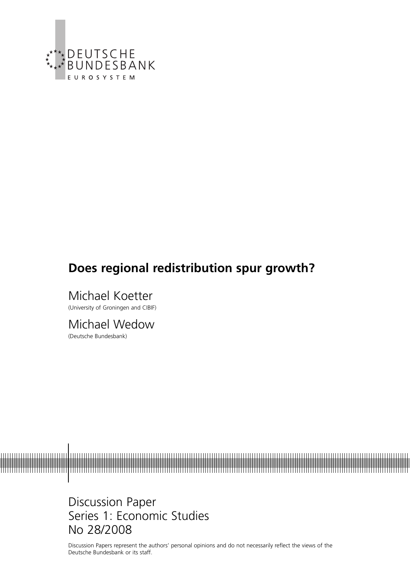

# **Does regional redistribution spur growth?**

Michael Koetter (University of Groningen and CIBIF)

Michael Wedow (Deutsche Bundesbank)



Discussion Paper Series 1: Economic Studies No 28/2008

Discussion Papers represent the authors' personal opinions and do not necessarily reflect the views of the Deutsche Bundesbank or its staff.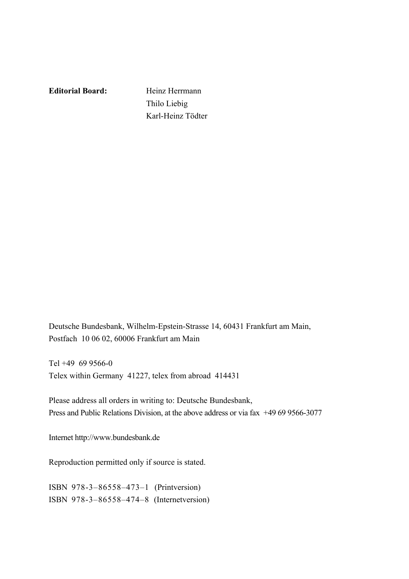**Editorial Board:** Heinz Herrmann

 Thilo Liebig Karl-Heinz Tödter

Deutsche Bundesbank, Wilhelm-Epstein-Strasse 14, 60431 Frankfurt am Main, Postfach 10 06 02, 60006 Frankfurt am Main

Tel +49 69 9566-0 Telex within Germany 41227, telex from abroad 414431

Please address all orders in writing to: Deutsche Bundesbank, Press and Public Relations Division, at the above address or via fax +49 69 9566-3077

Internet http://www.bundesbank.de

Reproduction permitted only if source is stated.

ISBN 978-3–86558–473–1 (Printversion) ISBN 978-3–86558–474–8 (Internetversion)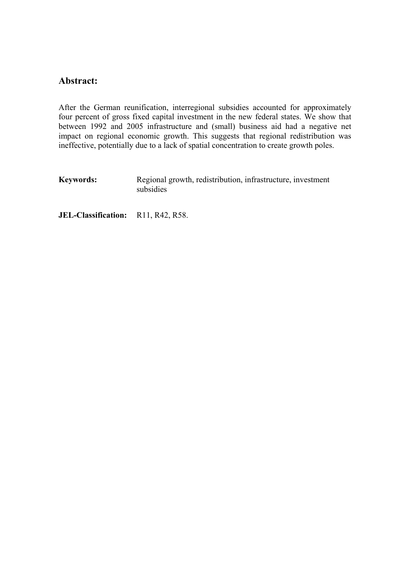### **Abstract:**

After the German reunification, interregional subsidies accounted for approximately four percent of gross fixed capital investment in the new federal states. We show that between 1992 and 2005 infrastructure and (small) business aid had a negative net impact on regional economic growth. This suggests that regional redistribution was ineffective, potentially due to a lack of spatial concentration to create growth poles.

**Keywords:** Regional growth, redistribution, infrastructure, investment subsidies

**JEL-Classification:** R11, R42, R58.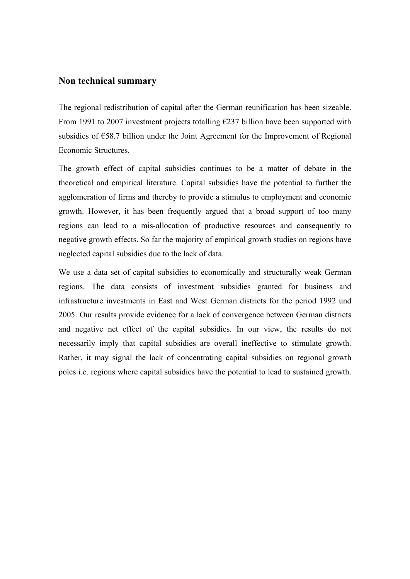#### **Non technical summary**

The regional redistribution of capital after the German reunification has been sizeable. From 1991 to 2007 investment projects totalling  $\epsilon$ 237 billion have been supported with subsidies of €58.7 billion under the Joint Agreement for the Improvement of Regional Economic Structures.

The growth effect of capital subsidies continues to be a matter of debate in the theoretical and empirical literature. Capital subsidies have the potential to further the agglomeration of firms and thereby to provide a stimulus to employment and economic growth. However, it has been frequently argued that a broad support of too many regions can lead to a mis-allocation of productive resources and consequently to negative growth effects. So far the majority of empirical growth studies on regions have neglected capital subsidies due to the lack of data.

We use a data set of capital subsidies to economically and structurally weak German regions. The data consists of investment subsidies granted for business and infrastructure investments in East and West German districts for the period 1992 und 2005. Our results provide evidence for a lack of convergence between German districts and negative net effect of the capital subsidies. In our view, the results do not necessarily imply that capital subsidies are overall ineffective to stimulate growth. Rather, it may signal the lack of concentrating capital subsidies on regional growth poles i.e. regions where capital subsidies have the potential to lead to sustained growth.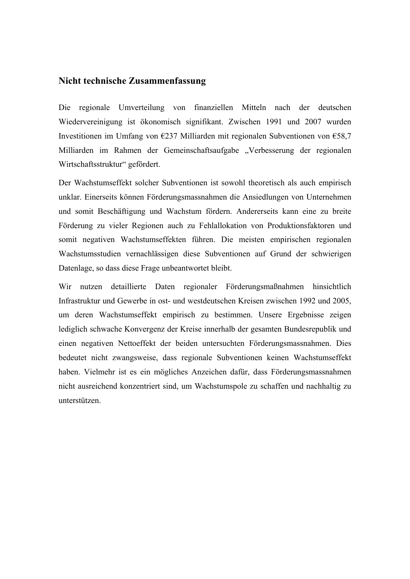### **Nicht technische Zusammenfassung**

Die regionale Umverteilung von finanziellen Mitteln nach der deutschen Wiedervereinigung ist ökonomisch signifikant. Zwischen 1991 und 2007 wurden Investitionen im Umfang von €237 Milliarden mit regionalen Subventionen von €58,7 Milliarden im Rahmen der Gemeinschaftsaufgabe "Verbesserung der regionalen Wirtschaftsstruktur" gefördert.

Der Wachstumseffekt solcher Subventionen ist sowohl theoretisch als auch empirisch unklar. Einerseits können Förderungsmassnahmen die Ansiedlungen von Unternehmen und somit Beschäftigung und Wachstum fördern. Andererseits kann eine zu breite Förderung zu vieler Regionen auch zu Fehlallokation von Produktionsfaktoren und somit negativen Wachstumseffekten führen. Die meisten empirischen regionalen Wachstumsstudien vernachlässigen diese Subventionen auf Grund der schwierigen Datenlage, so dass diese Frage unbeantwortet bleibt.

Wir nutzen detaillierte Daten regionaler Förderungsmaßnahmen hinsichtlich Infrastruktur und Gewerbe in ost- und westdeutschen Kreisen zwischen 1992 und 2005, um deren Wachstumseffekt empirisch zu bestimmen. Unsere Ergebnisse zeigen lediglich schwache Konvergenz der Kreise innerhalb der gesamten Bundesrepublik und einen negativen Nettoeffekt der beiden untersuchten Förderungsmassnahmen. Dies bedeutet nicht zwangsweise, dass regionale Subventionen keinen Wachstumseffekt haben. Vielmehr ist es ein mögliches Anzeichen dafür, dass Förderungsmassnahmen nicht ausreichend konzentriert sind, um Wachstumspole zu schaffen und nachhaltig zu unterstützen.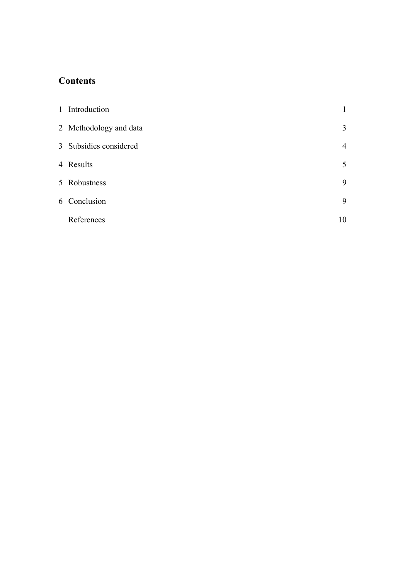## **Contents**

| 1 Introduction         |                |  |
|------------------------|----------------|--|
| 2 Methodology and data | 3              |  |
| 3 Subsidies considered | $\overline{4}$ |  |
| 4 Results              | 5              |  |
| 5 Robustness           | 9              |  |
| 6 Conclusion           | 9              |  |
| References             | 10             |  |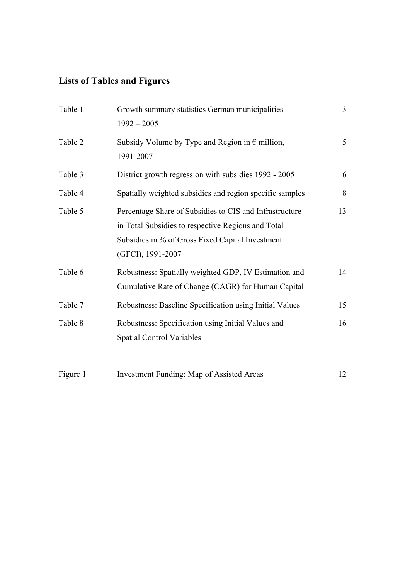# **Lists of Tables and Figures**

| Table 1  | Growth summary statistics German municipalities<br>$1992 - 2005$                                                                                                                       | $\overline{3}$ |
|----------|----------------------------------------------------------------------------------------------------------------------------------------------------------------------------------------|----------------|
| Table 2  | Subsidy Volume by Type and Region in $\epsilon$ million,<br>1991-2007                                                                                                                  | 5              |
| Table 3  | District growth regression with subsidies 1992 - 2005                                                                                                                                  | 6              |
| Table 4  | Spatially weighted subsidies and region specific samples                                                                                                                               | 8              |
| Table 5  | Percentage Share of Subsidies to CIS and Infrastructure<br>in Total Subsidies to respective Regions and Total<br>Subsidies in % of Gross Fixed Capital Investment<br>(GFCI), 1991-2007 | 13             |
| Table 6  | Robustness: Spatially weighted GDP, IV Estimation and<br>Cumulative Rate of Change (CAGR) for Human Capital                                                                            | 14             |
| Table 7  | Robustness: Baseline Specification using Initial Values                                                                                                                                | 15             |
| Table 8  | Robustness: Specification using Initial Values and<br><b>Spatial Control Variables</b>                                                                                                 | 16             |
| Figure 1 | <b>Investment Funding: Map of Assisted Areas</b>                                                                                                                                       | 12             |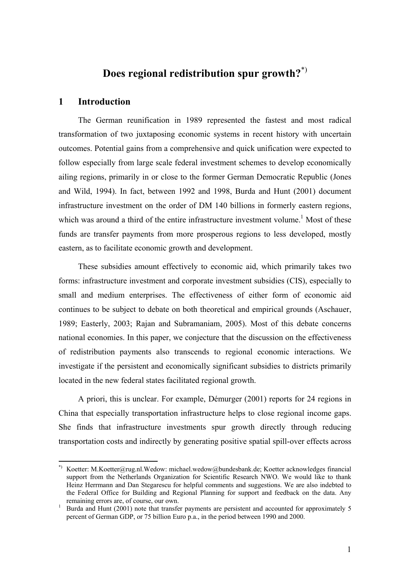## **Does regional redistribution spur growth?**\*)

#### **1 Introduction**

<u>.</u>

The German reunification in 1989 represented the fastest and most radical transformation of two juxtaposing economic systems in recent history with uncertain outcomes. Potential gains from a comprehensive and quick unification were expected to follow especially from large scale federal investment schemes to develop economically ailing regions, primarily in or close to the former German Democratic Republic (Jones and Wild, 1994). In fact, between 1992 and 1998, Burda and Hunt (2001) document infrastructure investment on the order of DM 140 billions in formerly eastern regions, which was around a third of the entire infrastructure investment volume.<sup>1</sup> Most of these funds are transfer payments from more prosperous regions to less developed, mostly eastern, as to facilitate economic growth and development.

These subsidies amount effectively to economic aid, which primarily takes two forms: infrastructure investment and corporate investment subsidies (CIS), especially to small and medium enterprises. The effectiveness of either form of economic aid continues to be subject to debate on both theoretical and empirical grounds (Aschauer, 1989; Easterly, 2003; Rajan and Subramaniam, 2005). Most of this debate concerns national economies. In this paper, we conjecture that the discussion on the effectiveness of redistribution payments also transcends to regional economic interactions. We investigate if the persistent and economically significant subsidies to districts primarily located in the new federal states facilitated regional growth.

A priori, this is unclear. For example, Démurger (2001) reports for 24 regions in China that especially transportation infrastructure helps to close regional income gaps. She finds that infrastructure investments spur growth directly through reducing transportation costs and indirectly by generating positive spatial spill-over effects across

<sup>\*)</sup> Koetter: M.Koetter@rug.nl.Wedow: michael.wedow@bundesbank.de; Koetter acknowledges financial support from the Netherlands Organization for Scientific Research NWO. We would like to thank Heinz Herrmann and Dan Stegarescu for helpful comments and suggestions. We are also indebted to the Federal Office for Building and Regional Planning for support and feedback on the data. Any remaining errors are, of course, our own.

Burda and Hunt (2001) note that transfer payments are persistent and accounted for approximately 5 percent of German GDP, or 75 billion Euro p.a., in the period between 1990 and 2000.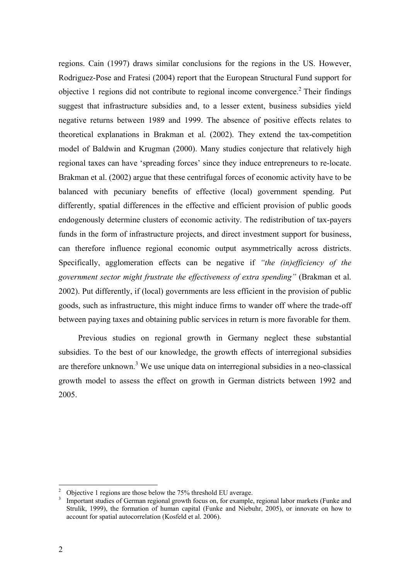regions. Cain (1997) draws similar conclusions for the regions in the US. However, Rodriguez-Pose and Fratesi (2004) report that the European Structural Fund support for objective 1 regions did not contribute to regional income convergence.<sup>2</sup> Their findings suggest that infrastructure subsidies and, to a lesser extent, business subsidies yield negative returns between 1989 and 1999. The absence of positive effects relates to theoretical explanations in Brakman et al. (2002). They extend the tax-competition model of Baldwin and Krugman (2000). Many studies conjecture that relatively high regional taxes can have 'spreading forces' since they induce entrepreneurs to re-locate. Brakman et al. (2002) argue that these centrifugal forces of economic activity have to be balanced with pecuniary benefits of effective (local) government spending. Put differently, spatial differences in the effective and efficient provision of public goods endogenously determine clusters of economic activity. The redistribution of tax-payers funds in the form of infrastructure projects, and direct investment support for business, can therefore influence regional economic output asymmetrically across districts. Specifically, agglomeration effects can be negative if *"the (in)efficiency of the government sector might frustrate the effectiveness of extra spending"* (Brakman et al. 2002). Put differently, if (local) governments are less efficient in the provision of public goods, such as infrastructure, this might induce firms to wander off where the trade-off between paying taxes and obtaining public services in return is more favorable for them.

Previous studies on regional growth in Germany neglect these substantial subsidies. To the best of our knowledge, the growth effects of interregional subsidies are therefore unknown.<sup>3</sup> We use unique data on interregional subsidies in a neo-classical growth model to assess the effect on growth in German districts between 1992 and 2005.

<u>.</u>

<sup>2</sup> Objective 1 regions are those below the 75% threshold EU average.

Important studies of German regional growth focus on, for example, regional labor markets (Funke and Strulik, 1999), the formation of human capital (Funke and Niebuhr, 2005), or innovate on how to account for spatial autocorrelation (Kosfeld et al. 2006).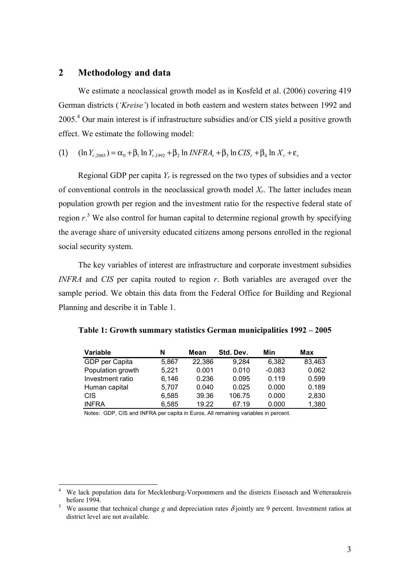#### **2 Methodology and data**

<u>.</u>

We estimate a neoclassical growth model as in Kosfeld et al. (2006) covering 419 German districts (*'Kreise'*) located in both eastern and western states between 1992 and 2005.4 Our main interest is if infrastructure subsidies and/or CIS yield a positive growth effect. We estimate the following model:

(1) 
$$
(\ln Y_{r,2005}) = \alpha_0 + \beta_1 \ln Y_{r,1992} + \beta_2 \ln INFRA_r + \beta_3 \ln CIS_r + \beta_4 \ln X_r + \varepsilon_r
$$

Regional GDP per capita *Yr* is regressed on the two types of subsidies and a vector of conventional controls in the neoclassical growth model *Xr*. The latter includes mean population growth per region and the investment ratio for the respective federal state of region  $r^5$ . We also control for human capital to determine regional growth by specifying the average share of university educated citizens among persons enrolled in the regional social security system.

The key variables of interest are infrastructure and corporate investment subsidies *INFRA* and *CIS* per capita routed to region *r*. Both variables are averaged over the sample period. We obtain this data from the Federal Office for Building and Regional Planning and describe it in Table 1.

| Table 1: Growth summary statistics German municipalities 1992 – 2005 |  |  |  |
|----------------------------------------------------------------------|--|--|--|
|----------------------------------------------------------------------|--|--|--|

| <b>Variable</b>   | N     | Mean   | Std. Dev. | Min      | Max    |
|-------------------|-------|--------|-----------|----------|--------|
| GDP per Capita    | 5,867 | 22,386 | 9,284     | 6.382    | 83,463 |
| Population growth | 5,221 | 0.001  | 0.010     | $-0.083$ | 0.062  |
| Investment ratio  | 6.146 | 0.236  | 0.095     | 0.119    | 0.599  |
| Human capital     | 5.707 | 0.040  | 0.025     | 0.000    | 0.189  |
| <b>CIS</b>        | 6,585 | 39.36  | 106.75    | 0.000    | 2,830  |
| <b>INFRA</b>      | 6,585 | 19.22  | 67.19     | 0.000    | 1,380  |

Notes: GDP, CIS and INFRA per capita in Euros. All remaining variables in percent.

<sup>&</sup>lt;sup>4</sup> We lack population data for Mecklenburg-Vorpommern and the districts Eisenach and Wetteraukreis before 1994.

We assume that technical change *g* and depreciation rates  $\delta$  jointly are 9 percent. Investment ratios at district level are not available.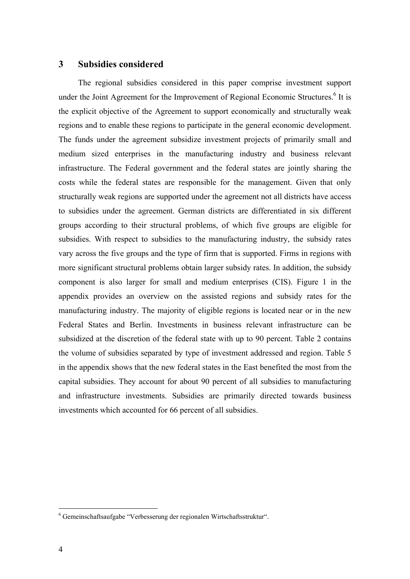#### **3 Subsidies considered**

The regional subsidies considered in this paper comprise investment support under the Joint Agreement for the Improvement of Regional Economic Structures.<sup>6</sup> It is the explicit objective of the Agreement to support economically and structurally weak regions and to enable these regions to participate in the general economic development. The funds under the agreement subsidize investment projects of primarily small and medium sized enterprises in the manufacturing industry and business relevant infrastructure. The Federal government and the federal states are jointly sharing the costs while the federal states are responsible for the management. Given that only structurally weak regions are supported under the agreement not all districts have access to subsidies under the agreement. German districts are differentiated in six different groups according to their structural problems, of which five groups are eligible for subsidies. With respect to subsidies to the manufacturing industry, the subsidy rates vary across the five groups and the type of firm that is supported. Firms in regions with more significant structural problems obtain larger subsidy rates. In addition, the subsidy component is also larger for small and medium enterprises (CIS). Figure 1 in the appendix provides an overview on the assisted regions and subsidy rates for the manufacturing industry. The majority of eligible regions is located near or in the new Federal States and Berlin. Investments in business relevant infrastructure can be subsidized at the discretion of the federal state with up to 90 percent. Table 2 contains the volume of subsidies separated by type of investment addressed and region. Table 5 in the appendix shows that the new federal states in the East benefited the most from the capital subsidies. They account for about 90 percent of all subsidies to manufacturing and infrastructure investments. Subsidies are primarily directed towards business investments which accounted for 66 percent of all subsidies.

<u>.</u>

<sup>6</sup> Gemeinschaftsaufgabe "Verbesserung der regionalen Wirtschaftsstruktur".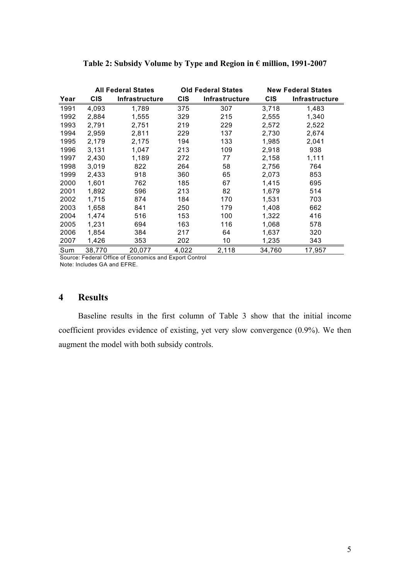|      |            | <b>All Federal States</b> |            | <b>Old Federal States</b> |            | <b>New Federal States</b> |
|------|------------|---------------------------|------------|---------------------------|------------|---------------------------|
| Year | <b>CIS</b> | Infrastructure            | <b>CIS</b> | Infrastructure            | <b>CIS</b> | Infrastructure            |
| 1991 | 4,093      | 1.789                     | 375        | 307                       | 3,718      | 1,483                     |
| 1992 | 2,884      | 1,555                     | 329        | 215                       | 2,555      | 1,340                     |
| 1993 | 2,791      | 2,751                     | 219        | 229                       | 2,572      | 2,522                     |
| 1994 | 2,959      | 2,811                     | 229        | 137                       | 2,730      | 2,674                     |
| 1995 | 2,179      | 2,175                     | 194        | 133                       | 1,985      | 2,041                     |
| 1996 | 3,131      | 1,047                     | 213        | 109                       | 2,918      | 938                       |
| 1997 | 2,430      | 1.189                     | 272        | 77                        | 2,158      | 1,111                     |
| 1998 | 3,019      | 822                       | 264        | 58                        | 2,756      | 764                       |
| 1999 | 2,433      | 918                       | 360        | 65                        | 2,073      | 853                       |
| 2000 | 1,601      | 762                       | 185        | 67                        | 1,415      | 695                       |
| 2001 | 1,892      | 596                       | 213        | 82                        | 1,679      | 514                       |
| 2002 | 1,715      | 874                       | 184        | 170                       | 1,531      | 703                       |
| 2003 | 1,658      | 841                       | 250        | 179                       | 1,408      | 662                       |
| 2004 | 1,474      | 516                       | 153        | 100                       | 1,322      | 416                       |
| 2005 | 1,231      | 694                       | 163        | 116                       | 1,068      | 578                       |
| 2006 | 1,854      | 384                       | 217        | 64                        | 1,637      | 320                       |
| 2007 | 1,426      | 353                       | 202        | 10                        | 1,235      | 343                       |
| Sum  | 38,770     | 20,077                    | 4,022      | 2,118                     | 34,760     | 17,957                    |

### **Table 2: Subsidy Volume by Type and Region in € million, 1991-2007**

Source: Federal Office of Economics and Export Control Note: Includes GA and EFRE.

### **4 Results**

Baseline results in the first column of Table 3 show that the initial income coefficient provides evidence of existing, yet very slow convergence (0.9%). We then augment the model with both subsidy controls.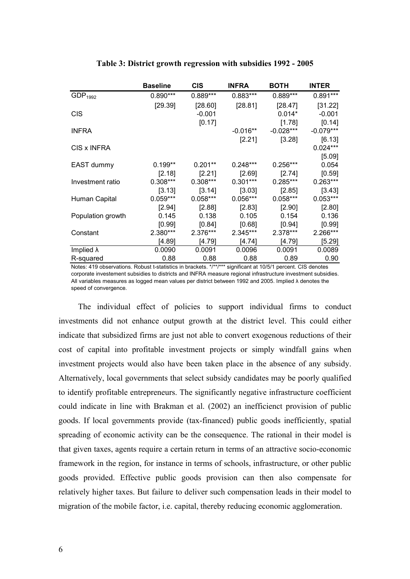|                     | <b>Baseline</b> | CIS        | <b>INFRA</b> | ВОТН        | <b>INTER</b>         |
|---------------------|-----------------|------------|--------------|-------------|----------------------|
| GDP <sub>1992</sub> | $0.890***$      | $0.889***$ | $0.883***$   | 0.889***    | $0.891***$           |
|                     | [29.39]         | [28.60]    | [28.81]      | [28.47]     | [31.22]              |
| <b>CIS</b>          |                 | $-0.001$   |              | $0.014*$    | $-0.001$             |
|                     |                 | [0.17]     |              | [1.78]      | [0.14]               |
| <b>INFRA</b>        |                 |            | $-0.016**$   | $-0.028***$ | $-0.079***$          |
| CIS x INFRA         |                 |            | $[2.21]$     | [3.28]      | [6.13]<br>$0.024***$ |
|                     |                 |            |              |             | [5.09]               |
| EAST dummy          | $0.199**$       | $0.201**$  | $0.248***$   | $0.256***$  | 0.054                |
|                     | [2.18]          | [2.21]     | [2.69]       | [2.74]      | [0.59]               |
| Investment ratio    | $0.308***$      | $0.308***$ | $0.301***$   | 0.285***    | $0.263***$           |
|                     | [3.13]          | [3.14]     | [3.03]       | [2.85]      | [3.43]               |
| Human Capital       | $0.059***$      | $0.058***$ | $0.056***$   | $0.058***$  | $0.053***$           |
|                     | $[2.94]$        | [2.88]     | [2.83]       | [2.90]      | [2.80]               |
| Population growth   | 0.145           | 0.138      | 0.105        | 0.154       | 0.136                |
|                     | [0.99]          | [0.84]     | [0.68]       | [0.94]      | [0.99]               |
| Constant            | 2.380***        | 2.376***   | 2.345***     | 2.378***    | 2.266***             |
|                     | [4.89]          | [4.79]     | [4.74]       | [4.79]      | [5.29]               |
| Implied $\lambda$   | 0.0090          | 0.0091     | 0.0096       | 0.0091      | 0.0089               |
| R-squared           | 0.88            | 0.88       | 0.88         | 0.89        | 0.90                 |

#### **Table 3: District growth regression with subsidies 1992 - 2005**

Notes: 419 observations. Robust t-statistics in brackets. \*/\*\*/\*\*\* significant at 10/5/1 percent. CIS denotes corporate investement subsidies to districts and INFRA measure regional infrastructure investment subsidies. All variables measures as logged mean values per district between 1992 and 2005. Implied λ denotes the speed of convergence.

The individual effect of policies to support individual firms to conduct investments did not enhance output growth at the district level. This could either indicate that subsidized firms are just not able to convert exogenous reductions of their cost of capital into profitable investment projects or simply windfall gains when investment projects would also have been taken place in the absence of any subsidy. Alternatively, local governments that select subsidy candidates may be poorly qualified to identify profitable entrepreneurs. The significantly negative infrastructure coefficient could indicate in line with Brakman et al. (2002) an inefficienct provision of public goods. If local governments provide (tax-financed) public goods inefficiently, spatial spreading of economic activity can be the consequence. The rational in their model is that given taxes, agents require a certain return in terms of an attractive socio-economic framework in the region, for instance in terms of schools, infrastructure, or other public goods provided. Effective public goods provision can then also compensate for relatively higher taxes. But failure to deliver such compensation leads in their model to migration of the mobile factor, i.e. capital, thereby reducing economic agglomeration.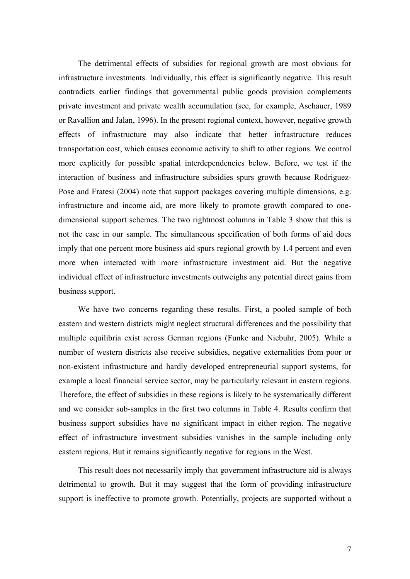The detrimental effects of subsidies for regional growth are most obvious for infrastructure investments. Individually, this effect is significantly negative. This result contradicts earlier findings that governmental public goods provision complements private investment and private wealth accumulation (see, for example, Aschauer, 1989 or Ravallion and Jalan, 1996). In the present regional context, however, negative growth effects of infrastructure may also indicate that better infrastructure reduces transportation cost, which causes economic activity to shift to other regions. We control more explicitly for possible spatial interdependencies below. Before, we test if the interaction of business and infrastructure subsidies spurs growth because Rodriguez-Pose and Fratesi (2004) note that support packages covering multiple dimensions, e.g. infrastructure and income aid, are more likely to promote growth compared to onedimensional support schemes. The two rightmost columns in Table 3 show that this is not the case in our sample. The simultaneous specification of both forms of aid does imply that one percent more business aid spurs regional growth by 1.4 percent and even more when interacted with more infrastructure investment aid. But the negative individual effect of infrastructure investments outweighs any potential direct gains from business support.

We have two concerns regarding these results. First, a pooled sample of both eastern and western districts might neglect structural differences and the possibility that multiple equilibria exist across German regions (Funke and Niebuhr, 2005). While a number of western districts also receive subsidies, negative externalities from poor or non-existent infrastructure and hardly developed entrepreneurial support systems, for example a local financial service sector, may be particularly relevant in eastern regions. Therefore, the effect of subsidies in these regions is likely to be systematically different and we consider sub-samples in the first two columns in Table 4. Results confirm that business support subsidies have no significant impact in either region. The negative effect of infrastructure investment subsidies vanishes in the sample including only eastern regions. But it remains significantly negative for regions in the West.

This result does not necessarily imply that government infrastructure aid is always detrimental to growth. But it may suggest that the form of providing infrastructure support is ineffective to promote growth. Potentially, projects are supported without a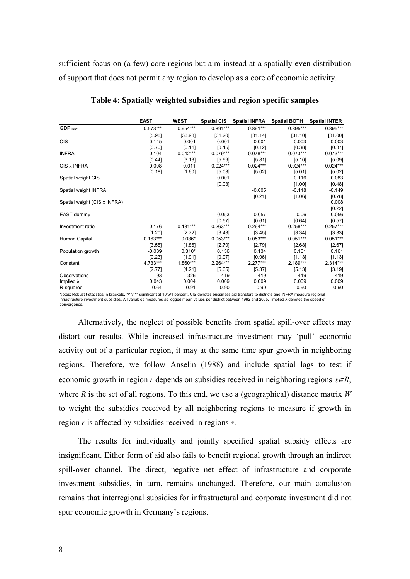sufficient focus on (a few) core regions but aim instead at a spatially even distribution of support that does not permit any region to develop as a core of economic activity.

|                              | <b>EAST</b> | <b>WEST</b> | <b>Spatial CIS</b> | <b>Spatial INFRA</b> | <b>Spatial BOTH</b> | <b>Spatial INTER</b> |
|------------------------------|-------------|-------------|--------------------|----------------------|---------------------|----------------------|
| GDP <sub>1992</sub>          | $0.573***$  | $0.954***$  | $0.891***$         | $0.891***$           | 0.895***            | $0.895***$           |
|                              | [5.98]      | [33.98]     | [31.20]            | [31.14]              | [31.10]             | [31.00]              |
| <b>CIS</b>                   | 0.145       | 0.001       | $-0.001$           | $-0.001$             | $-0.003$            | $-0.003$             |
|                              | [0.70]      | [0.11]      | [0.15]             | [0.12]               | [0.38]              | [0.37]               |
| <b>INFRA</b>                 | $-0.104$    | $-0.042***$ | $-0.079***$        | $-0.078***$          | $-0.073***$         | $-0.073***$          |
|                              | [0.44]      | [3.13]      | [5.99]             | [5.81]               | [5.10]              | [5.09]               |
| CIS x INFRA                  | 0.008       | 0.011       | $0.024***$         | $0.024***$           | $0.024***$          | $0.024***$           |
|                              | [0.18]      | [1.60]      | [5.03]             | [5.02]               | [5.01]              | [5.02]               |
| Spatial weight CIS           |             |             | 0.001              |                      | 0.116               | 0.083                |
|                              |             |             | [0.03]             |                      | [1.00]              | [0.48]               |
| Spatial weight INFRA         |             |             |                    | $-0.005$             | $-0.118$            | $-0.149$             |
|                              |             |             |                    | [0.21]               | [1.06]              | [0.78]               |
| Spatial weight (CIS x INFRA) |             |             |                    |                      |                     | 0.008                |
|                              |             |             |                    |                      |                     | [0.22]               |
| EAST dummy                   |             |             | 0.053              | 0.057                | 0.06                | 0.056                |
|                              |             |             | [0.57]             | [0.61]               | [0.64]              | [0.57]               |
| Investment ratio             | 0.176       | $0.181***$  | $0.263***$         | $0.264***$           | $0.258***$          | $0.257***$           |
|                              | [1.20]      | [2.72]      | [3.43]             | [3.45]               | [3.34]              | [3.33]               |
| Human Capital                | $0.163***$  | $0.036*$    | $0.053***$         | $0.053***$           | $0.051***$          | $0.051***$           |
|                              | [3.58]      | [1.86]      | [2.79]             | [2.79]               | [2.68]              | [2.67]               |
| Population growth            | $-0.039$    | $0.310*$    | 0.136              | 0.134                | 0.161               | 0.161                |
|                              | [0.23]      | [1.91]      | [0.97]             | [0.96]               | [1.13]              | [1.13]               |
| Constant                     | 4.733***    | 1.860***    | 2.264***           | $2.277***$           | 2.189***            | $2.314***$           |
|                              | [2.77]      | [4.21]      | [5.35]             | [5.37]               | [5.13]              | [3.19]               |
| Observations                 | 93          | 326         | 419                | 419                  | 419                 | 419                  |
| Implied $\lambda$            | 0.043       | 0.004       | 0.009              | 0.009                | 0.009               | 0.009                |
| R-squared                    | 0.64        | 0.91        | 0.90               | 0.90                 | 0.90                | 0.90                 |

**Table 4: Spatially weighted subsidies and region specific samples** 

Notes: Robust t-statistics in brackets. \*/\*\*/\*\*\* significant at 10/5/1 percent. CIS denotes bussiness aid transfers to districts and INFRA measure regional infrastructure investment subsidies. All variables measures as logged mean values per district between 1992 and 2005. Implied λ denotes the speed of convergence.

Alternatively, the neglect of possible benefits from spatial spill-over effects may distort our results. While increased infrastructure investment may 'pull' economic activity out of a particular region, it may at the same time spur growth in neighboring regions. Therefore, we follow Anselin (1988) and include spatial lags to test if economic growth in region *r* depends on subsidies received in neighboring regions *s*∈*R*, where *R* is the set of all regions. To this end, we use a (geographical) distance matrix *W* to weight the subsidies received by all neighboring regions to measure if growth in region *r* is affected by subsidies received in regions *s*.

The results for individually and jointly specified spatial subsidy effects are insignificant. Either form of aid also fails to benefit regional growth through an indirect spill-over channel. The direct, negative net effect of infrastructure and corporate investment subsidies, in turn, remains unchanged. Therefore, our main conclusion remains that interregional subsidies for infrastructural and corporate investment did not spur economic growth in Germany's regions.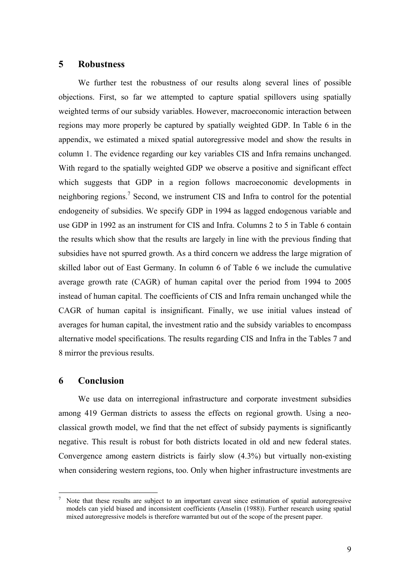#### **5 Robustness**

We further test the robustness of our results along several lines of possible objections. First, so far we attempted to capture spatial spillovers using spatially weighted terms of our subsidy variables. However, macroeconomic interaction between regions may more properly be captured by spatially weighted GDP. In Table 6 in the appendix, we estimated a mixed spatial autoregressive model and show the results in column 1. The evidence regarding our key variables CIS and Infra remains unchanged. With regard to the spatially weighted GDP we observe a positive and significant effect which suggests that GDP in a region follows macroeconomic developments in neighboring regions.<sup>7</sup> Second, we instrument CIS and Infra to control for the potential endogeneity of subsidies. We specify GDP in 1994 as lagged endogenous variable and use GDP in 1992 as an instrument for CIS and Infra. Columns 2 to 5 in Table 6 contain the results which show that the results are largely in line with the previous finding that subsidies have not spurred growth. As a third concern we address the large migration of skilled labor out of East Germany. In column 6 of Table 6 we include the cumulative average growth rate (CAGR) of human capital over the period from 1994 to 2005 instead of human capital. The coefficients of CIS and Infra remain unchanged while the CAGR of human capital is insignificant. Finally, we use initial values instead of averages for human capital, the investment ratio and the subsidy variables to encompass alternative model specifications. The results regarding CIS and Infra in the Tables 7 and 8 mirror the previous results.

#### **6 Conclusion**

1

We use data on interregional infrastructure and corporate investment subsidies among 419 German districts to assess the effects on regional growth. Using a neoclassical growth model, we find that the net effect of subsidy payments is significantly negative. This result is robust for both districts located in old and new federal states. Convergence among eastern districts is fairly slow (4.3%) but virtually non-existing when considering western regions, too. Only when higher infrastructure investments are

<sup>7</sup> Note that these results are subject to an important caveat since estimation of spatial autoregressive models can yield biased and inconsistent coefficients (Anselin (1988)). Further research using spatial mixed autoregressive models is therefore warranted but out of the scope of the present paper.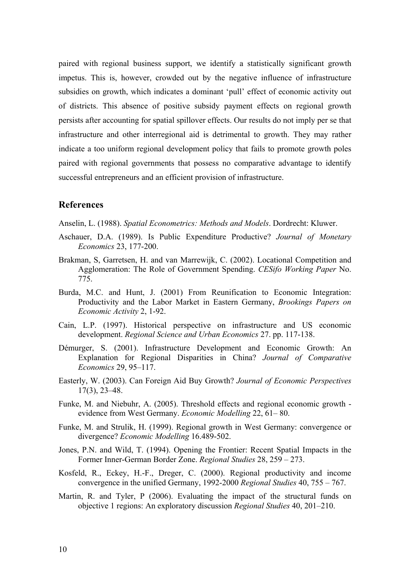paired with regional business support, we identify a statistically significant growth impetus. This is, however, crowded out by the negative influence of infrastructure subsidies on growth, which indicates a dominant 'pull' effect of economic activity out of districts. This absence of positive subsidy payment effects on regional growth persists after accounting for spatial spillover effects. Our results do not imply per se that infrastructure and other interregional aid is detrimental to growth. They may rather indicate a too uniform regional development policy that fails to promote growth poles paired with regional governments that possess no comparative advantage to identify successful entrepreneurs and an efficient provision of infrastructure.

#### **References**

- Anselin, L. (1988). *Spatial Econometrics: Methods and Models*. Dordrecht: Kluwer.
- Aschauer, D.A. (1989). Is Public Expenditure Productive? *Journal of Monetary Economics* 23, 177-200.
- Brakman, S, Garretsen, H. and van Marrewijk, C. (2002). Locational Competition and Agglomeration: The Role of Government Spending. *CESifo Working Paper* No. 775.
- Burda, M.C. and Hunt, J. (2001) From Reunification to Economic Integration: Productivity and the Labor Market in Eastern Germany, *Brookings Papers on Economic Activity* 2, 1-92.
- Cain, L.P. (1997). Historical perspective on infrastructure and US economic development. *Regional Science and Urban Economics* 27. pp. 117-138.
- Démurger, S. (2001). Infrastructure Development and Economic Growth: An Explanation for Regional Disparities in China? *Journal of Comparative Economics* 29, 95–117.
- Easterly, W. (2003). Can Foreign Aid Buy Growth? *Journal of Economic Perspectives* 17(3), 23–48.
- Funke, M. and Niebuhr, A. (2005). Threshold effects and regional economic growth evidence from West Germany. *Economic Modelling* 22, 61– 80.
- Funke, M. and Strulik, H. (1999). Regional growth in West Germany: convergence or divergence? *Economic Modelling* 16.489-502.
- Jones, P.N. and Wild, T. (1994). Opening the Frontier: Recent Spatial Impacts in the Former Inner-German Border Zone. *Regional Studies* 28, 259 – 273.
- Kosfeld, R., Eckey, H.-F., Dreger, C. (2000). Regional productivity and income convergence in the unified Germany, 1992-2000 *Regional Studies* 40, 755 – 767.
- Martin, R. and Tyler, P (2006). Evaluating the impact of the structural funds on objective 1 regions: An exploratory discussion *Regional Studies* 40, 201–210.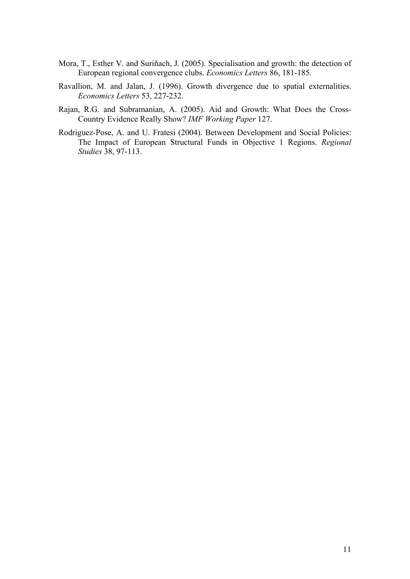- Mora, T., Esther V. and Suriñach, J. (2005). Specialisation and growth: the detection of European regional convergence clubs. *Economics Letters* 86, 181-185*.*
- Ravallion, M. and Jalan, J. (1996). Growth divergence due to spatial externalities. *Economics Letters* 53, 227-232.
- Rajan, R.G. and Subramanian, A. (2005). Aid and Growth: What Does the Cross-Country Evidence Really Show? *IMF Working Paper* 127.
- Rodriguez-Pose, A. and U. Fratesi (2004). Between Development and Social Policies: The Impact of European Structural Funds in Objective 1 Regions. *Regional Studies* 38, 97-113.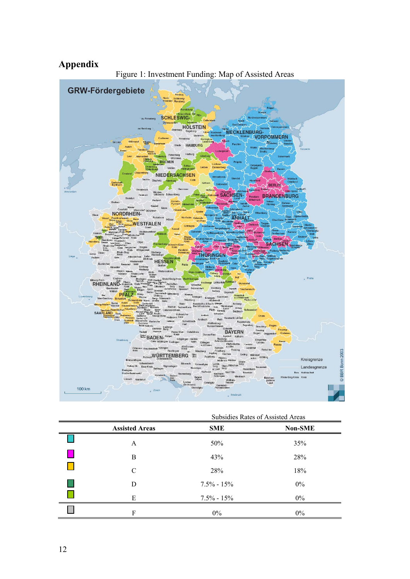## **Appendix**



|                       | Subsidies Rates of Assisted Areas |                |  |  |  |
|-----------------------|-----------------------------------|----------------|--|--|--|
| <b>Assisted Areas</b> | <b>SME</b>                        | <b>Non-SME</b> |  |  |  |
| A                     | 50%                               | 35%            |  |  |  |
| B                     | 43%                               | 28%            |  |  |  |
| C                     | 28%                               | 18%            |  |  |  |
| D                     | $7.5\% - 15\%$                    | $0\%$          |  |  |  |
| E                     | $7.5\% - 15\%$                    | $0\%$          |  |  |  |
| F                     | $0\%$                             | $0\%$          |  |  |  |

Subsidies Rates of Assisted Areas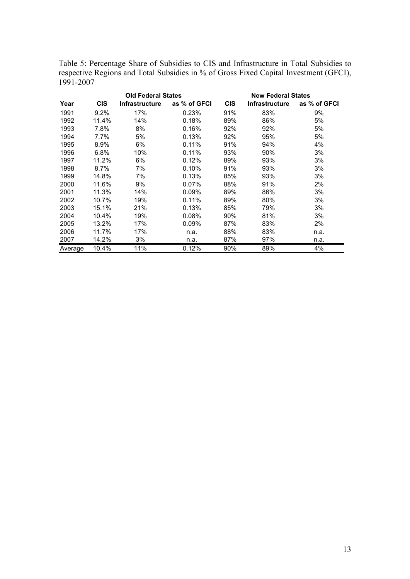Table 5: Percentage Share of Subsidies to CIS and Infrastructure in Total Subsidies to respective Regions and Total Subsidies in % of Gross Fixed Capital Investment (GFCI), 1991-2007

|         |            | <b>Old Federal States</b> | <b>New Federal States</b> |            |                       |              |
|---------|------------|---------------------------|---------------------------|------------|-----------------------|--------------|
| Year    | <b>CIS</b> | <b>Infrastructure</b>     | as % of GFCI              | <b>CIS</b> | <b>Infrastructure</b> | as % of GFCI |
| 1991    | 9.2%       | 17%                       | 0.23%                     | 91%        | 83%                   | 9%           |
| 1992    | 11.4%      | 14%                       | 0.18%                     | 89%        | 86%                   | 5%           |
| 1993    | 7.8%       | 8%                        | 0.16%                     | 92%        | 92%                   | 5%           |
| 1994    | 7.7%       | 5%                        | 0.13%                     | 92%        | 95%                   | 5%           |
| 1995    | 8.9%       | 6%                        | 0.11%                     | 91%        | 94%                   | 4%           |
| 1996    | 6.8%       | 10%                       | 0.11%                     | 93%        | 90%                   | 3%           |
| 1997    | 11.2%      | 6%                        | 0.12%                     | 89%        | 93%                   | 3%           |
| 1998    | 8.7%       | 7%                        | 0.10%                     | 91%        | 93%                   | 3%           |
| 1999    | 14.8%      | 7%                        | 0.13%                     | 85%        | 93%                   | 3%           |
| 2000    | 11.6%      | 9%                        | 0.07%                     | 88%        | 91%                   | 2%           |
| 2001    | 11.3%      | 14%                       | $0.09\%$                  | 89%        | 86%                   | 3%           |
| 2002    | 10.7%      | 19%                       | 0.11%                     | 89%        | 80%                   | 3%           |
| 2003    | 15.1%      | 21%                       | 0.13%                     | 85%        | 79%                   | 3%           |
| 2004    | 10.4%      | 19%                       | 0.08%                     | 90%        | 81%                   | 3%           |
| 2005    | 13.2%      | 17%                       | 0.09%                     | 87%        | 83%                   | 2%           |
| 2006    | 11.7%      | 17%                       | n.a.                      | 88%        | 83%                   | n.a.         |
| 2007    | 14.2%      | 3%                        | n.a.                      | 87%        | 97%                   | n.a.         |
| Average | 10.4%      | 11%                       | 0.12%                     | 90%        | 89%                   | 4%           |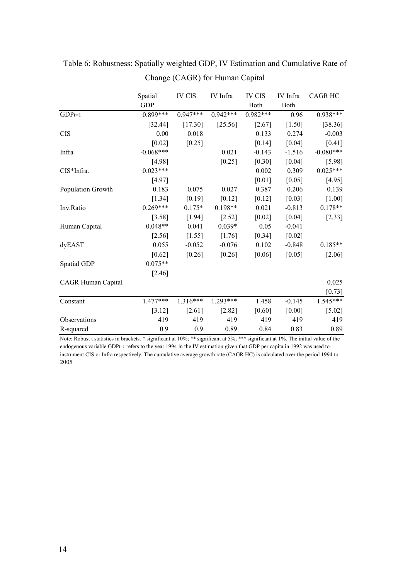|                    | Spatial     | <b>IV CIS</b> | IV Infra   | <b>IV CIS</b> | IV Infra | <b>CAGR HC</b> |
|--------------------|-------------|---------------|------------|---------------|----------|----------------|
|                    | <b>GDP</b>  |               |            | Both          | Both     |                |
| $GDPt=1$           | $0.899***$  | $0.947***$    | $0.942***$ | $0.982***$    | 0.96     | $0.938***$     |
|                    | [32.44]     | [17.30]       | [25.56]    | [2.67]        | [1.50]   | [38.36]        |
| <b>CIS</b>         | 0.00        | 0.018         |            | 0.133         | 0.274    | $-0.003$       |
|                    | $[0.02]$    | [0.25]        |            | $[0.14]$      | $[0.04]$ | [0.41]         |
| Infra              | $-0.068***$ |               | 0.021      | $-0.143$      | $-1.516$ | $-0.080***$    |
|                    | [4.98]      |               | [0.25]     | $[0.30]$      | $[0.04]$ | [5.98]         |
| CIS*Infra.         | $0.023***$  |               |            | 0.002         | 0.309    | $0.025***$     |
|                    | [4.97]      |               |            | $[0.01]$      | [0.05]   | $[4.95]$       |
| Population Growth  | 0.183       | 0.075         | 0.027      | 0.387         | 0.206    | 0.139          |
|                    | [1.34]      | $[0.19]$      | [0.12]     | $[0.12]$      | [0.03]   | [1.00]         |
| Inv.Ratio          | $0.269***$  | $0.175*$      | $0.198**$  | 0.021         | $-0.813$ | $0.178**$      |
|                    | [3.58]      | $[1.94]$      | $[2.52]$   | $[0.02]$      | $[0.04]$ | $[2.33]$       |
| Human Capital      | $0.048**$   | 0.041         | $0.039*$   | 0.05          | $-0.041$ |                |
|                    | $[2.56]$    | $[1.55]$      | [1.76]     | $[0.34]$      | $[0.02]$ |                |
| dyEAST             | 0.055       | $-0.052$      | $-0.076$   | 0.102         | $-0.848$ | $0.185**$      |
|                    | $[0.62]$    | [0.26]        | $[0.26]$   | $[0.06]$      | [0.05]   | $[2.06]$       |
| Spatial GDP        | $0.075**$   |               |            |               |          |                |
|                    | $[2.46]$    |               |            |               |          |                |
| CAGR Human Capital |             |               |            |               |          | 0.025          |
|                    |             |               |            |               |          | $[0.73]$       |
| Constant           | $1.477***$  | $1.316***$    | $1.293***$ | 1.458         | $-0.145$ | 1.545***       |
|                    | [3.12]      | [2.61]        | [2.82]     | [0.60]        | [0.00]   | [5.02]         |
| Observations       | 419         | 419           | 419        | 419           | 419      | 419            |
| R-squared          | 0.9         | 0.9           | 0.89       | 0.84          | 0.83     | 0.89           |

Table 6: Robustness: Spatially weighted GDP, IV Estimation and Cumulative Rate of Change (CAGR) for Human Capital

Note: Robust t statistics in brackets. \* significant at 10%; \*\* significant at 5%; \*\*\* significant at 1%. The initial value of the endogenous variable GDP<sup>t=1</sup> refers to the year 1994 in the IV estimation given that GDP per capita in 1992 was used to instrument CIS or Infra respectively. The cumulative average growth rate (CAGR HC) is calculated over the period 1994 to 2005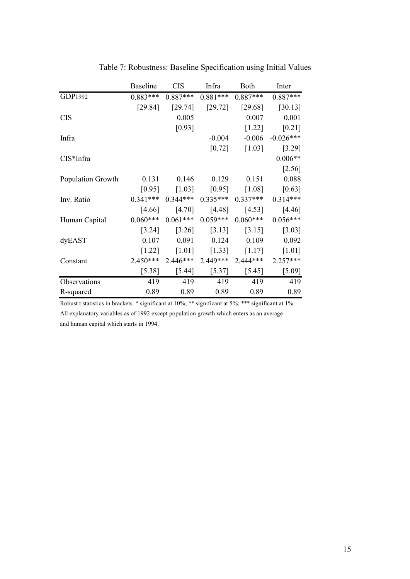|                   | <b>Baseline</b> | <b>CIS</b> | Infra               | Both       | Inter       |
|-------------------|-----------------|------------|---------------------|------------|-------------|
| GDP1992           | $0.883***$      | $0.887***$ | $0.881***$          | $0.887***$ | $0.887***$  |
|                   | [29.84]         | [29.74]    | [29.72]             | [29.68]    | [30.13]     |
| <b>CIS</b>        |                 | 0.005      |                     | 0.007      | 0.001       |
|                   |                 | [0.93]     |                     | [1.22]     | [0.21]      |
| Infra             |                 |            | $-0.004$            | $-0.006$   | $-0.026***$ |
|                   |                 |            | $[0.72]$            | [1.03]     | [3.29]      |
| $CIS*Infra$       |                 |            |                     |            | $0.006**$   |
|                   |                 |            |                     |            | [2.56]      |
| Population Growth | 0.131           | 0.146      | 0.129               | 0.151      | 0.088       |
|                   | [0.95]          | [1.03]     | [0.95]              | [1.08]     | [0.63]      |
| Inv. Ratio        | $0.341***$      | $0.344***$ | $0.335***$          | $0.337***$ | $0.314***$  |
|                   | [4.66]          | $[4.70]$   | [4.48]              | [4.53]     | [4.46]      |
| Human Capital     | $0.060***$      | $0.061***$ | $0.059***$          | $0.060***$ | $0.056***$  |
|                   | [3.24]          | [3.26]     | [3.13]              | [3.15]     | [3.03]      |
| dyEAST            | 0.107           | 0.091      | 0.124               | 0.109      | 0.092       |
|                   | $[1.22]$        | $[1.01]$   | $[1.33]$            | [1.17]     | $[1.01]$    |
| Constant          | 2.450***        | $2.446***$ | 2.449***            | 2.444***   | $2.257***$  |
|                   | $[5.38]$        | [5.44]     | $\left[5.37\right]$ | [5.45]     | [5.09]      |
| Observations      | 419             | 419        | 419                 | 419        | 419         |
| R-squared         | 0.89            | 0.89       | 0.89                | 0.89       | 0.89        |

Table 7: Robustness: Baseline Specification using Initial Values

Robust t statistics in brackets. \* significant at 10%; \*\* significant at 5%; \*\*\* significant at 1% All explanatory variables as of 1992 except population growth which enters as an average and human capital which starts in 1994.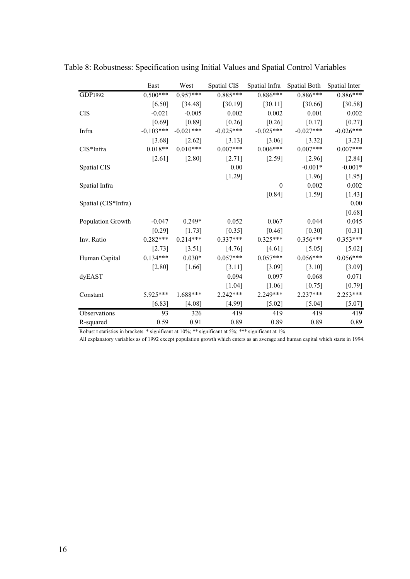|                     | East        | West        | Spatial CIS | Spatial Infra | Spatial Both | Spatial Inter |
|---------------------|-------------|-------------|-------------|---------------|--------------|---------------|
| GDP1992             | $0.500***$  | $0.957***$  | $0.885***$  | $0.886***$    | $0.886***$   | $0.886***$    |
|                     | [6.50]      | [34.48]     | [30.19]     | [30.11]       | [30.66]      | [30.58]       |
| <b>CIS</b>          | $-0.021$    | $-0.005$    | 0.002       | 0.002         | 0.001        | 0.002         |
|                     | [0.69]      | [0.89]      | [0.26]      | [0.26]        | [0.17]       | $[0.27]$      |
| Infra               | $-0.103***$ | $-0.021***$ | $-0.025***$ | $-0.025***$   | $-0.027***$  | $-0.026***$   |
|                     | [3.68]      | $[2.62]$    | [3.13]      | [3.06]        | [3.32]       | [3.23]        |
| $CIS*Infra$         | $0.018**$   | $0.010***$  | $0.007***$  | $0.006***$    | $0.007***$   | $0.007***$    |
|                     | $[2.61]$    | [2.80]      | [2.71]      | [2.59]        | [2.96]       | [2.84]        |
| Spatial CIS         |             |             | 0.00        |               | $-0.001*$    | $-0.001*$     |
|                     |             |             | [1.29]      |               | [1.96]       | $[1.95]$      |
| Spatial Infra       |             |             |             | $\theta$      | 0.002        | 0.002         |
|                     |             |             |             | [0.84]        | [1.59]       | $[1.43]$      |
| Spatial (CIS*Infra) |             |             |             |               |              | 0.00          |
|                     |             |             |             |               |              | $[0.68]$      |
| Population Growth   | $-0.047$    | $0.249*$    | 0.052       | 0.067         | 0.044        | 0.045         |
|                     | [0.29]      | [1.73]      | [0.35]      | [0.46]        | [0.30]       | [0.31]        |
| Inv. Ratio          | $0.282***$  | $0.214***$  | $0.337***$  | $0.325***$    | $0.356***$   | $0.353***$    |
|                     | [2.73]      | [3.51]      | [4.76]      | [4.61]        | $[5.05]$     | $[5.02]$      |
| Human Capital       | $0.134***$  | $0.030*$    | $0.057***$  | $0.057***$    | $0.056***$   | $0.056***$    |
|                     | $[2.80]$    | [1.66]      | [3.11]      | [3.09]        | [3.10]       | [3.09]        |
| dyEAST              |             |             | 0.094       | 0.097         | 0.068        | 0.071         |
|                     |             |             | [1.04]      | $[1.06]$      | [0.75]       | [0.79]        |
| Constant            | 5.925***    | $1.688***$  | 2.242***    | 2.249***      | $2.237***$   | 2.253***      |
|                     | [6.83]      | [4.08]      | [4.99]      | [5.02]        | [5.04]       | $[5.07]$      |
| Observations        | 93          | 326         | 419         | 419           | 419          | 419           |
| R-squared           | 0.59        | 0.91        | 0.89        | 0.89          | 0.89         | 0.89          |

Table 8: Robustness: Specification using Initial Values and Spatial Control Variables

Robust t statistics in brackets. \* significant at 10%; \*\* significant at 5%; \*\*\* significant at 1%

All explanatory variables as of 1992 except population growth which enters as an average and human capital which starts in 1994.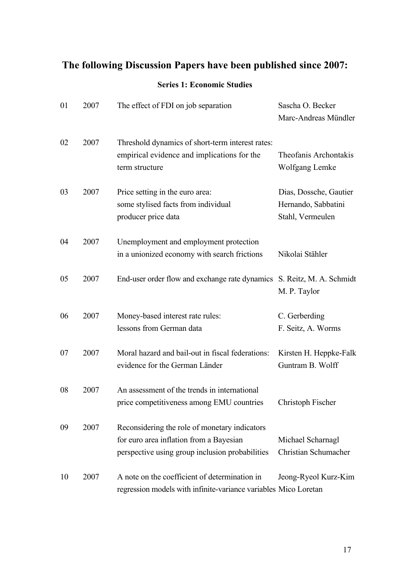# **The following Discussion Papers have been published since 2007:**

### **Series 1: Economic Studies**

| 01 | 2007 | The effect of FDI on job separation                                                                                                         | Sascha O. Becker<br>Marc-Andreas Mündler                          |
|----|------|---------------------------------------------------------------------------------------------------------------------------------------------|-------------------------------------------------------------------|
| 02 | 2007 | Threshold dynamics of short-term interest rates:<br>empirical evidence and implications for the<br>term structure                           | Theofanis Archontakis<br>Wolfgang Lemke                           |
| 03 | 2007 | Price setting in the euro area:<br>some stylised facts from individual<br>producer price data                                               | Dias, Dossche, Gautier<br>Hernando, Sabbatini<br>Stahl, Vermeulen |
| 04 | 2007 | Unemployment and employment protection<br>in a unionized economy with search frictions                                                      | Nikolai Stähler                                                   |
| 05 | 2007 | End-user order flow and exchange rate dynamics S. Reitz, M. A. Schmidt                                                                      | M. P. Taylor                                                      |
| 06 | 2007 | Money-based interest rate rules:<br>lessons from German data                                                                                | C. Gerberding<br>F. Seitz, A. Worms                               |
| 07 | 2007 | Moral hazard and bail-out in fiscal federations:<br>evidence for the German Länder                                                          | Kirsten H. Heppke-Falk<br>Guntram B. Wolff                        |
| 08 | 2007 | An assessment of the trends in international<br>price competitiveness among EMU countries                                                   | Christoph Fischer                                                 |
| 09 | 2007 | Reconsidering the role of monetary indicators<br>for euro area inflation from a Bayesian<br>perspective using group inclusion probabilities | Michael Scharnagl<br>Christian Schumacher                         |
| 10 | 2007 | A note on the coefficient of determination in<br>regression models with infinite-variance variables Mico Loretan                            | Jeong-Ryeol Kurz-Kim                                              |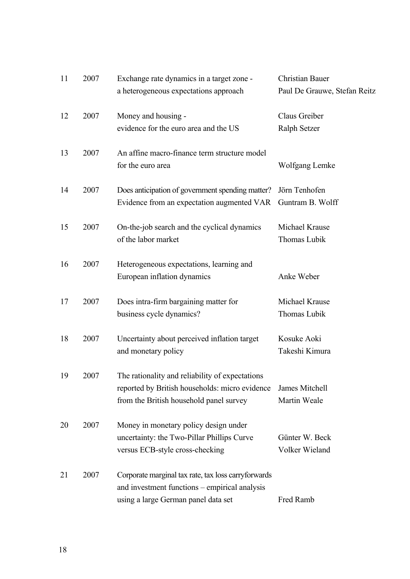| 11 | 2007 | Exchange rate dynamics in a target zone -           | <b>Christian Bauer</b>       |
|----|------|-----------------------------------------------------|------------------------------|
|    |      | a heterogeneous expectations approach               | Paul De Grauwe, Stefan Reitz |
| 12 | 2007 | Money and housing -                                 | Claus Greiber                |
|    |      | evidence for the euro area and the US               | Ralph Setzer                 |
| 13 | 2007 | An affine macro-finance term structure model        |                              |
|    |      | for the euro area                                   | Wolfgang Lemke               |
| 14 | 2007 | Does anticipation of government spending matter?    | Jörn Tenhofen                |
|    |      | Evidence from an expectation augmented VAR          | Guntram B. Wolff             |
| 15 | 2007 | On-the-job search and the cyclical dynamics         | Michael Krause               |
|    |      | of the labor market                                 | Thomas Lubik                 |
| 16 | 2007 | Heterogeneous expectations, learning and            |                              |
|    |      | European inflation dynamics                         | Anke Weber                   |
| 17 | 2007 | Does intra-firm bargaining matter for               | Michael Krause               |
|    |      | business cycle dynamics?                            | Thomas Lubik                 |
| 18 | 2007 | Uncertainty about perceived inflation target        | Kosuke Aoki                  |
|    |      | and monetary policy                                 | Takeshi Kimura               |
| 19 | 2007 | The rationality and reliability of expectations     |                              |
|    |      | reported by British households: micro evidence      | James Mitchell               |
|    |      | from the British household panel survey             | Martin Weale                 |
| 20 | 2007 | Money in monetary policy design under               |                              |
|    |      | uncertainty: the Two-Pillar Phillips Curve          | Günter W. Beck               |
|    |      | versus ECB-style cross-checking                     | Volker Wieland               |
| 21 | 2007 | Corporate marginal tax rate, tax loss carryforwards |                              |
|    |      | and investment functions – empirical analysis       |                              |
|    |      | using a large German panel data set                 | Fred Ramb                    |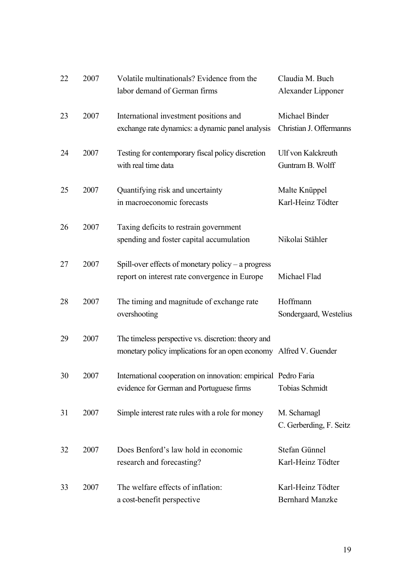| 22 | 2007 | Volatile multinationals? Evidence from the<br>labor demand of German firms                                                | Claudia M. Buch<br>Alexander Lipponer         |
|----|------|---------------------------------------------------------------------------------------------------------------------------|-----------------------------------------------|
| 23 | 2007 | International investment positions and<br>exchange rate dynamics: a dynamic panel analysis                                | Michael Binder<br>Christian J. Offermanns     |
| 24 | 2007 | Testing for contemporary fiscal policy discretion<br>with real time data                                                  | <b>Ulf von Kalckreuth</b><br>Guntram B. Wolff |
| 25 | 2007 | Quantifying risk and uncertainty<br>in macroeconomic forecasts                                                            | Malte Knüppel<br>Karl-Heinz Tödter            |
| 26 | 2007 | Taxing deficits to restrain government<br>spending and foster capital accumulation                                        | Nikolai Stähler                               |
| 27 | 2007 | Spill-over effects of monetary policy $-$ a progress<br>report on interest rate convergence in Europe                     | Michael Flad                                  |
| 28 | 2007 | The timing and magnitude of exchange rate<br>overshooting                                                                 | Hoffmann<br>Sondergaard, Westelius            |
| 29 | 2007 | The timeless perspective vs. discretion: theory and<br>monetary policy implications for an open economy Alfred V. Guender |                                               |
| 30 | 2007 | International cooperation on innovation: empirical Pedro Faria<br>evidence for German and Portuguese firms                | <b>Tobias Schmidt</b>                         |
| 31 | 2007 | Simple interest rate rules with a role for money                                                                          | M. Scharnagl<br>C. Gerberding, F. Seitz       |
| 32 | 2007 | Does Benford's law hold in economic<br>research and forecasting?                                                          | Stefan Günnel<br>Karl-Heinz Tödter            |
| 33 | 2007 | The welfare effects of inflation:<br>a cost-benefit perspective                                                           | Karl-Heinz Tödter<br><b>Bernhard Manzke</b>   |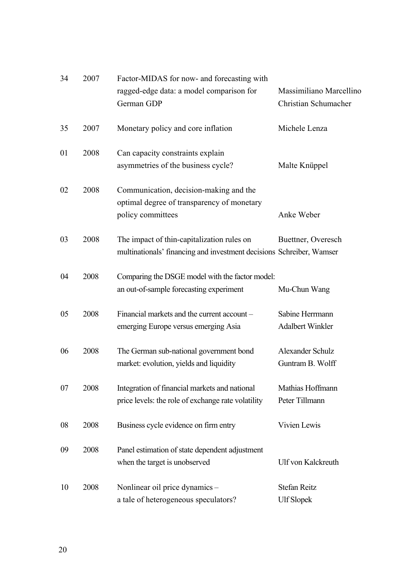| 34 | 2007 | Factor-MIDAS for now- and forecasting with<br>ragged-edge data: a model comparison for                             | Massimiliano Marcellino                    |
|----|------|--------------------------------------------------------------------------------------------------------------------|--------------------------------------------|
|    |      | German GDP                                                                                                         | Christian Schumacher                       |
| 35 | 2007 | Monetary policy and core inflation                                                                                 | Michele Lenza                              |
| 01 | 2008 | Can capacity constraints explain<br>asymmetries of the business cycle?                                             | Malte Knüppel                              |
| 02 | 2008 | Communication, decision-making and the<br>optimal degree of transparency of monetary<br>policy committees          | Anke Weber                                 |
| 03 | 2008 | The impact of thin-capitalization rules on<br>multinationals' financing and investment decisions Schreiber, Wamser | Buettner, Overesch                         |
| 04 | 2008 | Comparing the DSGE model with the factor model:<br>an out-of-sample forecasting experiment                         | Mu-Chun Wang                               |
| 05 | 2008 | Financial markets and the current account -<br>emerging Europe versus emerging Asia                                | Sabine Herrmann<br><b>Adalbert Winkler</b> |
| 06 | 2008 | The German sub-national government bond<br>market: evolution, yields and liquidity                                 | Alexander Schulz<br>Guntram B. Wolff       |
| 07 | 2008 | Integration of financial markets and national<br>price levels: the role of exchange rate volatility                | Mathias Hoffmann<br>Peter Tillmann         |
| 08 | 2008 | Business cycle evidence on firm entry                                                                              | Vivien Lewis                               |
| 09 | 2008 | Panel estimation of state dependent adjustment<br>when the target is unobserved                                    | Ulf von Kalckreuth                         |
| 10 | 2008 | Nonlinear oil price dynamics -<br>a tale of heterogeneous speculators?                                             | <b>Stefan Reitz</b><br><b>Ulf Slopek</b>   |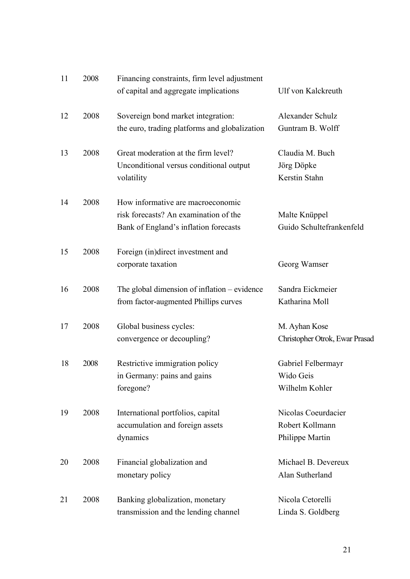| 11 | 2008 | Financing constraints, firm level adjustment<br>of capital and aggregate implications                               | <b>Ulf von Kalckreuth</b>                                 |
|----|------|---------------------------------------------------------------------------------------------------------------------|-----------------------------------------------------------|
| 12 | 2008 | Sovereign bond market integration:<br>the euro, trading platforms and globalization                                 | Alexander Schulz<br>Guntram B. Wolff                      |
| 13 | 2008 | Great moderation at the firm level?<br>Unconditional versus conditional output<br>volatility                        | Claudia M. Buch<br>Jörg Döpke<br>Kerstin Stahn            |
| 14 | 2008 | How informative are macroeconomic<br>risk forecasts? An examination of the<br>Bank of England's inflation forecasts | Malte Knüppel<br>Guido Schultefrankenfeld                 |
| 15 | 2008 | Foreign (in)direct investment and<br>corporate taxation                                                             | Georg Wamser                                              |
| 16 | 2008 | The global dimension of inflation – evidence<br>from factor-augmented Phillips curves                               | Sandra Eickmeier<br>Katharina Moll                        |
| 17 | 2008 | Global business cycles:<br>convergence or decoupling?                                                               | M. Ayhan Kose<br>Christopher Otrok, Ewar Prasad           |
| 18 | 2008 | Restrictive immigration policy<br>in Germany: pains and gains<br>foregone?                                          | Gabriel Felbermayr<br>Wido Geis<br>Wilhelm Kohler         |
| 19 | 2008 | International portfolios, capital<br>accumulation and foreign assets<br>dynamics                                    | Nicolas Coeurdacier<br>Robert Kollmann<br>Philippe Martin |
| 20 | 2008 | Financial globalization and<br>monetary policy                                                                      | Michael B. Devereux<br>Alan Sutherland                    |
| 21 | 2008 | Banking globalization, monetary<br>transmission and the lending channel                                             | Nicola Cetorelli<br>Linda S. Goldberg                     |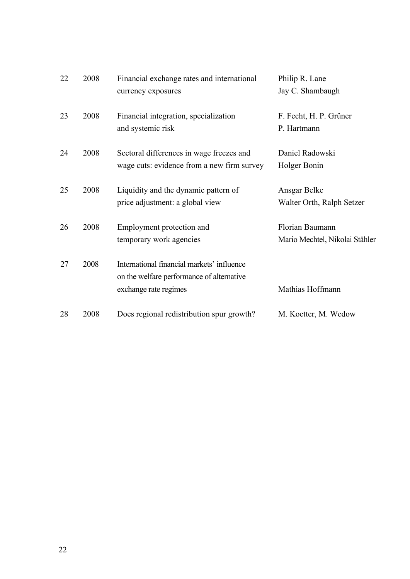| 22 | 2008 | Financial exchange rates and international | Philip R. Lane                 |
|----|------|--------------------------------------------|--------------------------------|
|    |      | currency exposures                         | Jay C. Shambaugh               |
| 23 | 2008 | Financial integration, specialization      | F. Fecht, H. P. Grüner         |
|    |      | and systemic risk                          | P. Hartmann                    |
| 24 | 2008 | Sectoral differences in wage freezes and   | Daniel Radowski                |
|    |      | wage cuts: evidence from a new firm survey | Holger Bonin                   |
| 25 | 2008 | Liquidity and the dynamic pattern of       | Ansgar Belke                   |
|    |      | price adjustment: a global view            | Walter Orth, Ralph Setzer      |
| 26 | 2008 | Employment protection and                  | Florian Baumann                |
|    |      | temporary work agencies                    | Mario Mechtel, Nikolai Stähler |
| 27 | 2008 | International financial markets' influence |                                |
|    |      | on the welfare performance of alternative  |                                |
|    |      | exchange rate regimes                      | Mathias Hoffmann               |
| 28 | 2008 | Does regional redistribution spur growth?  | M. Koetter, M. Wedow           |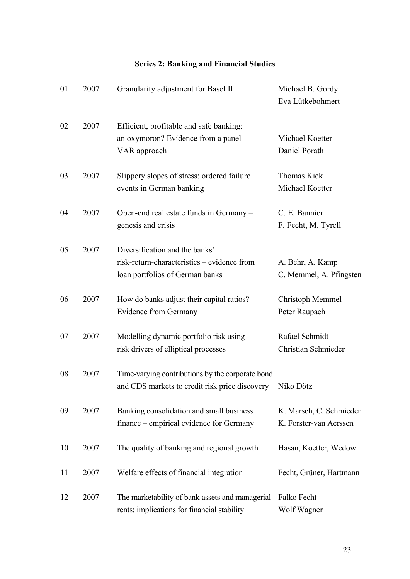### **Series 2: Banking and Financial Studies**

| 01 | 2007 | Granularity adjustment for Basel II                                                                              | Michael B. Gordy<br>Eva Lütkebohmert              |
|----|------|------------------------------------------------------------------------------------------------------------------|---------------------------------------------------|
| 02 | 2007 | Efficient, profitable and safe banking:<br>an oxymoron? Evidence from a panel<br>VAR approach                    | Michael Koetter<br>Daniel Porath                  |
| 03 | 2007 | Slippery slopes of stress: ordered failure<br>events in German banking                                           | Thomas Kick<br>Michael Koetter                    |
| 04 | 2007 | Open-end real estate funds in Germany –<br>genesis and crisis                                                    | C. E. Bannier<br>F. Fecht, M. Tyrell              |
| 05 | 2007 | Diversification and the banks'<br>risk-return-characteristics - evidence from<br>loan portfolios of German banks | A. Behr, A. Kamp<br>C. Memmel, A. Pfingsten       |
| 06 | 2007 | How do banks adjust their capital ratios?<br>Evidence from Germany                                               | Christoph Memmel<br>Peter Raupach                 |
| 07 | 2007 | Modelling dynamic portfolio risk using<br>risk drivers of elliptical processes                                   | Rafael Schmidt<br>Christian Schmieder             |
| 08 | 2007 | Time-varying contributions by the corporate bond<br>and CDS markets to credit risk price discovery               | Niko Dötz                                         |
| 09 | 2007 | Banking consolidation and small business<br>finance – empirical evidence for Germany                             | K. Marsch, C. Schmieder<br>K. Forster-van Aerssen |
| 10 | 2007 | The quality of banking and regional growth                                                                       | Hasan, Koetter, Wedow                             |
| 11 | 2007 | Welfare effects of financial integration                                                                         | Fecht, Grüner, Hartmann                           |
| 12 | 2007 | The marketability of bank assets and managerial<br>rents: implications for financial stability                   | Falko Fecht<br>Wolf Wagner                        |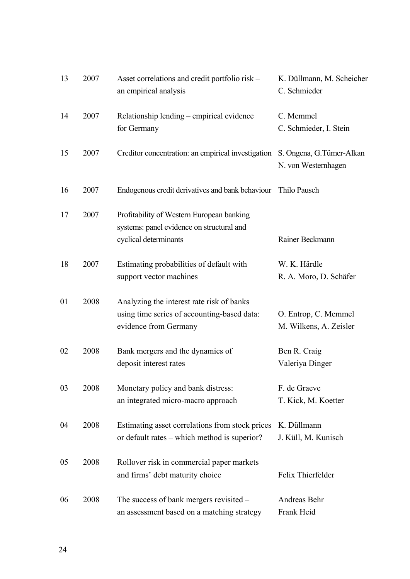| 13 | 2007 | Asset correlations and credit portfolio risk –<br>an empirical analysis                                           | K. Düllmann, M. Scheicher<br>C. Schmieder        |
|----|------|-------------------------------------------------------------------------------------------------------------------|--------------------------------------------------|
| 14 | 2007 | Relationship lending – empirical evidence<br>for Germany                                                          | C. Memmel<br>C. Schmieder, I. Stein              |
| 15 | 2007 | Creditor concentration: an empirical investigation                                                                | S. Ongena, G. Tümer-Alkan<br>N. von Westernhagen |
| 16 | 2007 | Endogenous credit derivatives and bank behaviour                                                                  | Thilo Pausch                                     |
| 17 | 2007 | Profitability of Western European banking<br>systems: panel evidence on structural and<br>cyclical determinants   | Rainer Beckmann                                  |
| 18 | 2007 | Estimating probabilities of default with<br>support vector machines                                               | W. K. Härdle<br>R. A. Moro, D. Schäfer           |
| 01 | 2008 | Analyzing the interest rate risk of banks<br>using time series of accounting-based data:<br>evidence from Germany | O. Entrop, C. Memmel<br>M. Wilkens, A. Zeisler   |
| 02 | 2008 | Bank mergers and the dynamics of<br>deposit interest rates                                                        | Ben R. Craig<br>Valeriya Dinger                  |
| 03 | 2008 | Monetary policy and bank distress:<br>an integrated micro-macro approach                                          | F. de Graeve<br>T. Kick, M. Koetter              |
| 04 | 2008 | Estimating asset correlations from stock prices<br>or default rates – which method is superior?                   | K. Düllmann<br>J. Küll, M. Kunisch               |
| 05 | 2008 | Rollover risk in commercial paper markets<br>and firms' debt maturity choice                                      | Felix Thierfelder                                |
| 06 | 2008 | The success of bank mergers revisited –<br>an assessment based on a matching strategy                             | Andreas Behr<br>Frank Heid                       |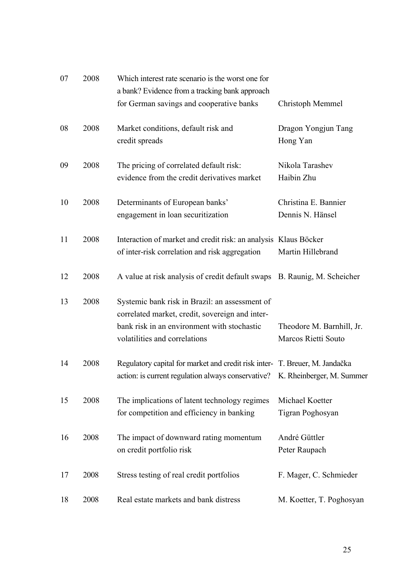| 07 | 2008 | Which interest rate scenario is the worst one for<br>a bank? Evidence from a tracking bank approach                                                                               |                                                  |
|----|------|-----------------------------------------------------------------------------------------------------------------------------------------------------------------------------------|--------------------------------------------------|
|    |      | for German savings and cooperative banks                                                                                                                                          | Christoph Memmel                                 |
| 08 | 2008 | Market conditions, default risk and<br>credit spreads                                                                                                                             | Dragon Yongjun Tang<br>Hong Yan                  |
| 09 | 2008 | The pricing of correlated default risk:<br>evidence from the credit derivatives market                                                                                            | Nikola Tarashev<br>Haibin Zhu                    |
| 10 | 2008 | Determinants of European banks'<br>engagement in loan securitization                                                                                                              | Christina E. Bannier<br>Dennis N. Hänsel         |
| 11 | 2008 | Interaction of market and credit risk: an analysis Klaus Böcker<br>of inter-risk correlation and risk aggregation                                                                 | Martin Hillebrand                                |
| 12 | 2008 | A value at risk analysis of credit default swaps B. Raunig, M. Scheicher                                                                                                          |                                                  |
| 13 | 2008 | Systemic bank risk in Brazil: an assessment of<br>correlated market, credit, sovereign and inter-<br>bank risk in an environment with stochastic<br>volatilities and correlations | Theodore M. Barnhill, Jr.<br>Marcos Rietti Souto |
| 14 | 2008 | Regulatory capital for market and credit risk inter- T. Breuer, M. Jandačka<br>action: is current regulation always conservative? K. Rheinberger, M. Summer                       |                                                  |
| 15 | 2008 | The implications of latent technology regimes<br>for competition and efficiency in banking                                                                                        | Michael Koetter<br>Tigran Poghosyan              |
| 16 | 2008 | The impact of downward rating momentum<br>on credit portfolio risk                                                                                                                | André Güttler<br>Peter Raupach                   |
| 17 | 2008 | Stress testing of real credit portfolios                                                                                                                                          | F. Mager, C. Schmieder                           |
| 18 | 2008 | Real estate markets and bank distress                                                                                                                                             | M. Koetter, T. Poghosyan                         |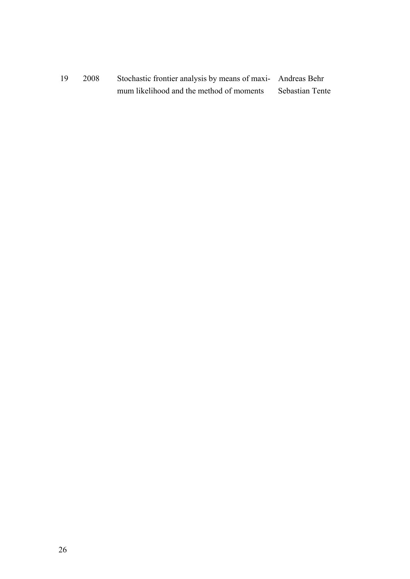19 2008 Stochastic frontier analysis by means of maxi- Andreas Behr mum likelihood and the method of moments Sebastian Tente